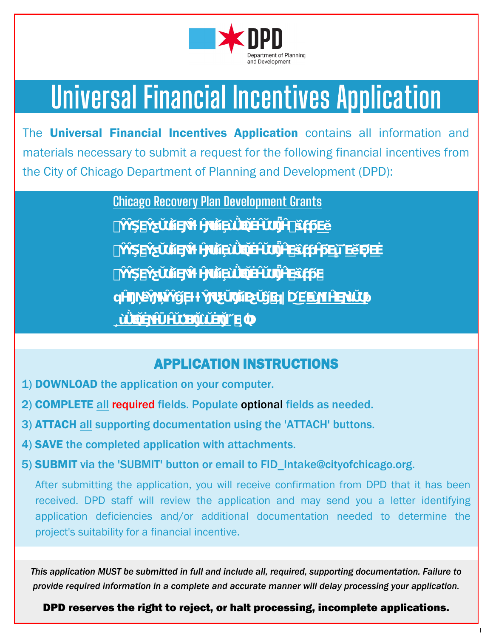

# Universal Financial Incentives Application

The Universal Financial Incentives Application contains all information and materials necessary to submit a request for the following financial incentives from the City of Chicago Department of Planning and Development (DPD):



## APPLICATION INSTRUCTIONS

- 1) DOWNLOAD the application on your computer.
- 2) COMPLETE all required fields. Populate optional fields as needed.
- 3) ATTACH all supporting documentation using the 'ATTACH' buttons.
- 4) SAVE the completed application with attachments.
- 5) SUBMIT via the 'SUBMIT' button or email to FID\_Intake@cityofchicago.org.

After submitting the application, you will receive confirmation from DPD that it has been received. DPD staff will review the application and may send you a letter identifying application deficiencies and/or additional documentation needed to determine the project's suitability for a financial incentive.

*This application MUST be submitted in full and include all, required, supporting documentation. Failure to provide required information in a complete and accurate manner will delay processing your application.*

### DPD reserves the right to reject, or halt processing, incomplete applications.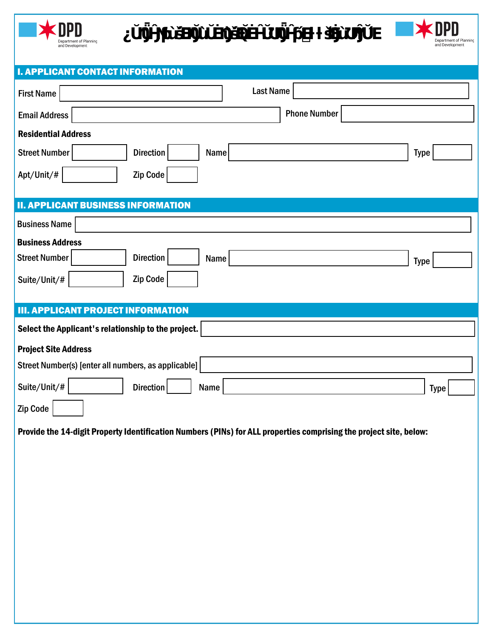Department of Planning

**¿ŬŊǕĤƝƥùšΈDŊŬùŬĖŊùšΈQŬĖĤŬƱŊǕĤƥΈƚƚšŊĖùƱŊŶŬΈ**

| <b>I. APPLICANT CONTACT INFORMATION</b>                                                                            |                     |
|--------------------------------------------------------------------------------------------------------------------|---------------------|
| <b>First Name</b>                                                                                                  | <b>Last Name</b>    |
| <b>Email Address</b>                                                                                               | <b>Phone Number</b> |
| <b>Residential Address</b>                                                                                         |                     |
| Street Number<br><b>Direction</b><br>Name                                                                          | <b>Type</b>         |
| Apt/Unit/#<br>Zip Code                                                                                             |                     |
| <b>II. APPLICANT BUSINESS INFORMATION</b>                                                                          |                     |
| <b>Business Name</b>                                                                                               |                     |
| <b>Business Address</b>                                                                                            |                     |
| <b>Street Number</b><br><b>Direction</b><br>Name                                                                   | <b>Type</b>         |
| Zip Code<br>Suite/Unit/#                                                                                           |                     |
| <b>III. APPLICANT PROJECT INFORMATION</b>                                                                          |                     |
| Select the Applicant's relationship to the project.                                                                |                     |
| <b>Project Site Address</b>                                                                                        |                     |
| Street Number(s) [enter all numbers, as applicable]                                                                |                     |
| Suite/Unit/#<br><b>Direction</b><br>Name                                                                           | <b>Type</b>         |
| Zip Code                                                                                                           |                     |
| Provide the 14-digit Property Identification Numbers (PINs) for ALL properties comprising the project site, below: |                     |
|                                                                                                                    |                     |
|                                                                                                                    |                     |
|                                                                                                                    |                     |
|                                                                                                                    |                     |
|                                                                                                                    |                     |
|                                                                                                                    |                     |
|                                                                                                                    |                     |
|                                                                                                                    |                     |
|                                                                                                                    |                     |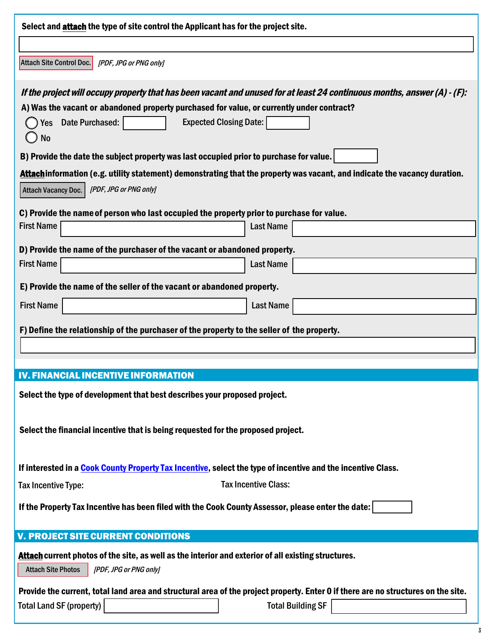| Select and attach the type of site control the Applicant has for the project site.                                                                                                                                                                                                            |                          |  |
|-----------------------------------------------------------------------------------------------------------------------------------------------------------------------------------------------------------------------------------------------------------------------------------------------|--------------------------|--|
|                                                                                                                                                                                                                                                                                               |                          |  |
| Attach Site Control Doc.<br>[PDF, JPG or PNG only]                                                                                                                                                                                                                                            |                          |  |
| If the project will occupy property that has been vacant and unused for at least 24 continuous months, answer (A) - (F):<br>A) Was the vacant or abandoned property purchased for value, or currently under contract?<br><b>Expected Closing Date:</b><br>Date Purchased:<br>Yes<br><b>No</b> |                          |  |
| B) Provide the date the subject property was last occupied prior to purchase for value.                                                                                                                                                                                                       |                          |  |
| Attachinformation (e.g. utility statement) demonstrating that the property was vacant, and indicate the vacancy duration.<br><b>Attach Vacancy Doc.</b><br>[PDF, JPG or PNG only]                                                                                                             |                          |  |
| C) Provide the name of person who last occupied the property prior to purchase for value.                                                                                                                                                                                                     |                          |  |
| <b>First Name</b><br><b>Last Name</b>                                                                                                                                                                                                                                                         |                          |  |
| D) Provide the name of the purchaser of the vacant or abandoned property.                                                                                                                                                                                                                     |                          |  |
| <b>First Name</b><br><b>Last Name</b>                                                                                                                                                                                                                                                         |                          |  |
| E) Provide the name of the seller of the vacant or abandoned property.                                                                                                                                                                                                                        |                          |  |
| <b>First Name</b><br><b>Last Name</b>                                                                                                                                                                                                                                                         |                          |  |
| F) Define the relationship of the purchaser of the property to the seller of the property.                                                                                                                                                                                                    |                          |  |
| <b>IV. FINANCIAL INCENTIVE INFORMATION</b>                                                                                                                                                                                                                                                    |                          |  |
| Select the type of development that best describes your proposed project.                                                                                                                                                                                                                     |                          |  |
| Select the financial incentive that is being requested for the proposed project.                                                                                                                                                                                                              |                          |  |
| If interested in a Cook County Property Tax Incentive, select the type of incentive and the incentive Class.                                                                                                                                                                                  |                          |  |
| <b>Tax Incentive Class:</b><br>Tax Incentive Type:                                                                                                                                                                                                                                            |                          |  |
| If the Property Tax Incentive has been filed with the Cook County Assessor, please enter the date:                                                                                                                                                                                            |                          |  |
| <b>V. PROJECT SITE CURRENT CONDITIONS</b>                                                                                                                                                                                                                                                     |                          |  |
| Attach current photos of the site, as well as the interior and exterior of all existing structures.<br><b>Attach Site Photos</b><br>[PDF, JPG or PNG only]                                                                                                                                    |                          |  |
| Provide the current, total land area and structural area of the project property. Enter 0 if there are no structures on the site.                                                                                                                                                             |                          |  |
| <b>Total Land SF (property)</b>                                                                                                                                                                                                                                                               | <b>Total Building SF</b> |  |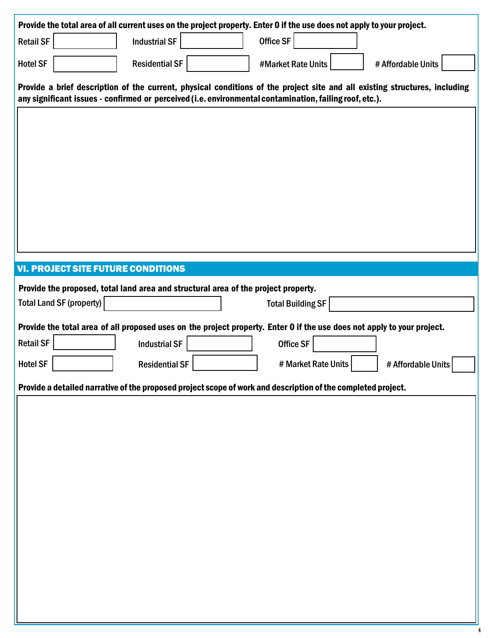| Provide the total area of all current uses on the project property. Enter 0 if the use does not apply to your project.                                                                                                                |
|---------------------------------------------------------------------------------------------------------------------------------------------------------------------------------------------------------------------------------------|
| Office SF<br><b>Industrial SF</b><br><b>Retail SF</b>                                                                                                                                                                                 |
| <b>Residential SF</b><br><b>Hotel SF</b><br>#Market Rate Units<br># Affordable Units                                                                                                                                                  |
| Provide a brief description of the current, physical conditions of the project site and all existing structures, including<br>any significant issues - confirmed or perceived (i.e. environmental contamination, failing roof, etc.). |
|                                                                                                                                                                                                                                       |
|                                                                                                                                                                                                                                       |
|                                                                                                                                                                                                                                       |
|                                                                                                                                                                                                                                       |
|                                                                                                                                                                                                                                       |
|                                                                                                                                                                                                                                       |
| <b>VI. PROJECT SITE FUTURE CONDITIONS</b>                                                                                                                                                                                             |
| Provide the proposed, total land area and structural area of the project property.                                                                                                                                                    |
| Total Land SF (property)<br><b>Total Building SF</b>                                                                                                                                                                                  |
| Provide the total area of all proposed uses on the project property. Enter 0 if the use does not apply to your project.                                                                                                               |
|                                                                                                                                                                                                                                       |
| <b>Retail SF</b><br>Office SF<br><b>Industrial SF</b>                                                                                                                                                                                 |
| <b>Hotel SF</b><br># Market Rate Units<br><b>Residential SF</b><br># Affordable Units                                                                                                                                                 |
| Provide a detailed narrative of the proposed project scope of work and description of the completed project.                                                                                                                          |
|                                                                                                                                                                                                                                       |
|                                                                                                                                                                                                                                       |
|                                                                                                                                                                                                                                       |
|                                                                                                                                                                                                                                       |
|                                                                                                                                                                                                                                       |
|                                                                                                                                                                                                                                       |
|                                                                                                                                                                                                                                       |
|                                                                                                                                                                                                                                       |
|                                                                                                                                                                                                                                       |

**4**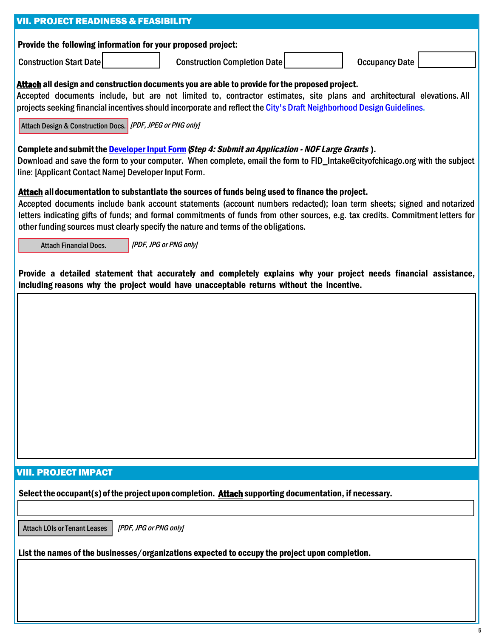| <b>VII. PROJECT READINESS &amp; FEASIBILITY</b>                                                                                                                                                                                                                                                                                                                                                                                                     |  |  |  |
|-----------------------------------------------------------------------------------------------------------------------------------------------------------------------------------------------------------------------------------------------------------------------------------------------------------------------------------------------------------------------------------------------------------------------------------------------------|--|--|--|
| Provide the following information for your proposed project:                                                                                                                                                                                                                                                                                                                                                                                        |  |  |  |
| <b>Construction Start Date</b><br><b>Construction Completion Date</b><br><b>Occupancy Date</b>                                                                                                                                                                                                                                                                                                                                                      |  |  |  |
| Attach all design and construction documents you are able to provide for the proposed project.<br>Accepted documents include, but are not limited to, contractor estimates, site plans and architectural elevations. All<br>projects seeking financial incentives should incorporate and reflect the City's Draft Neighborhood Design Guidelines.<br>Attach Design & Construction Docs. [IPDF, JPEG or PNG only]                                    |  |  |  |
| Complete and submit the Developer Input Form (Step 4: Submit an Application - NOF Large Grants).<br>Download and save the form to your computer. When complete, email the form to FID_Intake@cityofchicago.org with the subject<br>line: [Applicant Contact Name] Developer Input Form.                                                                                                                                                             |  |  |  |
| Attach all documentation to substantiate the sources of funds being used to finance the project.<br>Accepted documents include bank account statements (account numbers redacted); loan term sheets; signed and notarized<br>letters indicating gifts of funds; and formal commitments of funds from other sources, e.g. tax credits. Commitment letters for<br>other funding sources must clearly specify the nature and terms of the obligations. |  |  |  |
| [PDF, JPG or PNG only]<br><b>Attach Financial Docs.</b>                                                                                                                                                                                                                                                                                                                                                                                             |  |  |  |
| Provide a detailed statement that accurately and completely explains why your project needs financial assistance,<br>including reasons why the project would have unacceptable returns without the incentive.                                                                                                                                                                                                                                       |  |  |  |
|                                                                                                                                                                                                                                                                                                                                                                                                                                                     |  |  |  |
|                                                                                                                                                                                                                                                                                                                                                                                                                                                     |  |  |  |
|                                                                                                                                                                                                                                                                                                                                                                                                                                                     |  |  |  |
|                                                                                                                                                                                                                                                                                                                                                                                                                                                     |  |  |  |
|                                                                                                                                                                                                                                                                                                                                                                                                                                                     |  |  |  |
|                                                                                                                                                                                                                                                                                                                                                                                                                                                     |  |  |  |
|                                                                                                                                                                                                                                                                                                                                                                                                                                                     |  |  |  |
| <b>VIII. PROJECT IMPACT</b>                                                                                                                                                                                                                                                                                                                                                                                                                         |  |  |  |
| Select the occupant(s) of the project upon completion. Attach supporting documentation, if necessary.                                                                                                                                                                                                                                                                                                                                               |  |  |  |
| <b>Attach LOIs or Tenant Leases</b><br>[PDF, JPG or PNG only]                                                                                                                                                                                                                                                                                                                                                                                       |  |  |  |
| List the names of the businesses/organizations expected to occupy the project upon completion.                                                                                                                                                                                                                                                                                                                                                      |  |  |  |
|                                                                                                                                                                                                                                                                                                                                                                                                                                                     |  |  |  |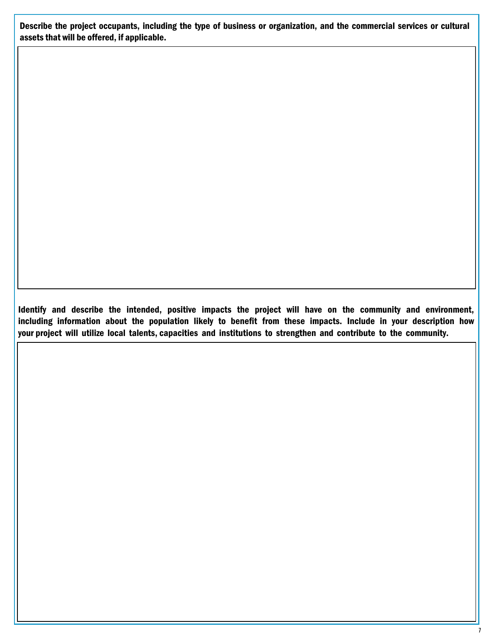Describe the project occupants, including the type of business or organization, and the commercial services or cultural assets that will be offered, if applicable.

Identify and describe the intended, positive impacts the project will have on the community and environment, including information about the population likely to benefit from these impacts. Include in your description how your project will utilize local talents, capacities and institutions to strengthen and contribute to the community.